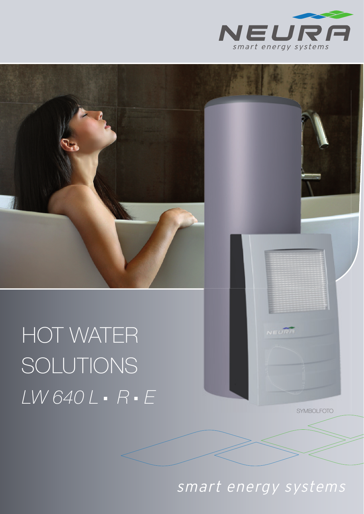

# HOT WATER SOLUTIONS LW 640 L · R · E

**SYMBOLFOTO** 

smart energy systems

NEURF